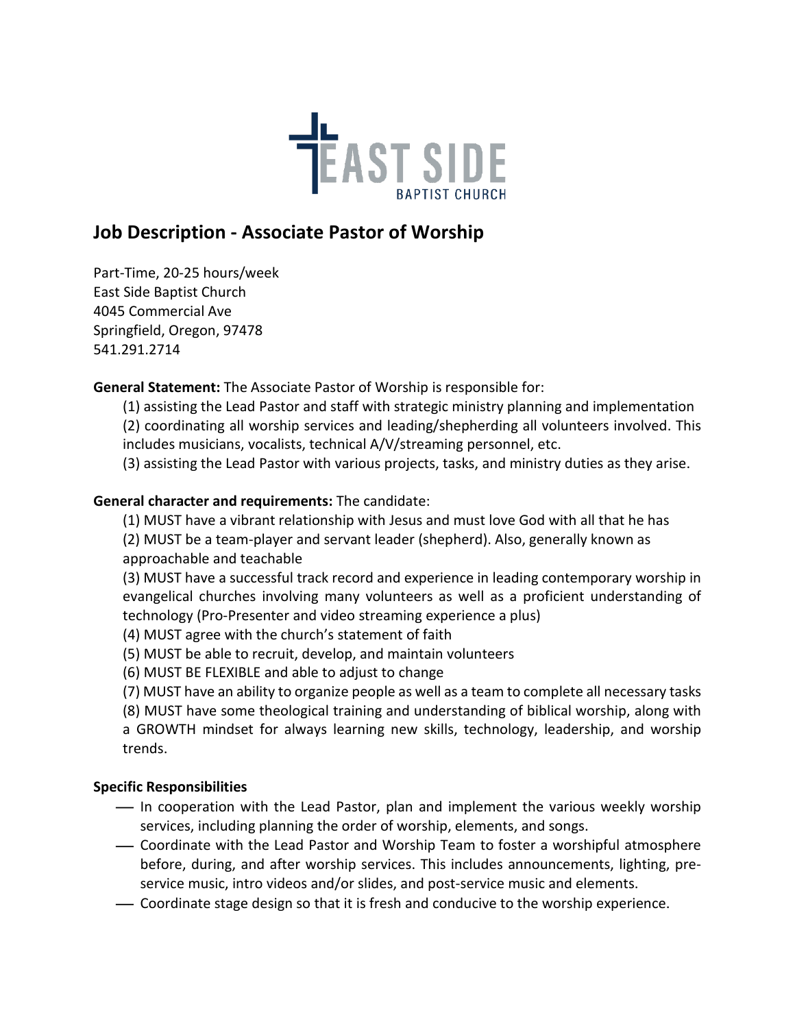

# **Job Description - Associate Pastor of Worship**

Part-Time, 20-25 hours/week East Side Baptist Church 4045 Commercial Ave Springfield, Oregon, 97478 541.291.2714

**General Statement:** The Associate Pastor of Worship is responsible for:

- (1) assisting the Lead Pastor and staff with strategic ministry planning and implementation
- (2) coordinating all worship services and leading/shepherding all volunteers involved. This includes musicians, vocalists, technical A/V/streaming personnel, etc.
- (3) assisting the Lead Pastor with various projects, tasks, and ministry duties as they arise.

## **General character and requirements:** The candidate:

- (1) MUST have a vibrant relationship with Jesus and must love God with all that he has
- (2) MUST be a team-player and servant leader (shepherd). Also, generally known as approachable and teachable

(3) MUST have a successful track record and experience in leading contemporary worship in evangelical churches involving many volunteers as well as a proficient understanding of technology (Pro-Presenter and video streaming experience a plus)

- (4) MUST agree with the church's statement of faith
- (5) MUST be able to recruit, develop, and maintain volunteers
- (6) MUST BE FLEXIBLE and able to adjust to change

(7) MUST have an ability to organize people as well as a team to complete all necessary tasks (8) MUST have some theological training and understanding of biblical worship, along with a GROWTH mindset for always learning new skills, technology, leadership, and worship trends.

### **Specific Responsibilities**

- In cooperation with the Lead Pastor, plan and implement the various weekly worship services, including planning the order of worship, elements, and songs.
- ⎯ Coordinate with the Lead Pastor and Worship Team to foster a worshipful atmosphere before, during, and after worship services. This includes announcements, lighting, preservice music, intro videos and/or slides, and post-service music and elements.
- ⎯ Coordinate stage design so that it is fresh and conducive to the worship experience.